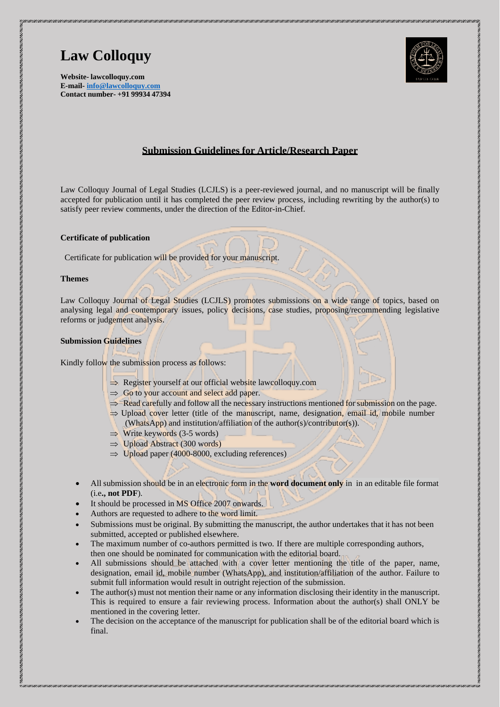

**Website- lawcolloquy.com E-mail- [info@lawcolloquy.com](mailto:info@lawcolloquy.com) Contact number- +91 99934 47394**

# **Submission Guidelines for Article/Research Paper**

Law Colloquy Journal of Legal Studies (LCJLS) is a peer-reviewed journal, and no manuscript will be finally accepted for publication until it has completed the peer review process, including rewriting by the author(s) to satisfy peer review comments, under the direction of the Editor-in-Chief.

#### **Certificate of publication**

Certificate for publication will be provided for your manuscript.

#### **Themes**

Law Colloquy Journal of Legal Studies (LCJLS) promotes submissions on a wide range of topics, based on analysing legal and contemporary issues, policy decisions, case studies, proposing/recommending legislative reforms or judgement analysis.

#### **Submission Guidelines**

Kindly follow the submission process as follows:

- $\Rightarrow$  Register yourself at our official website lawcolloquy.com
- $\Rightarrow$  Go to your account and select add paper.
- $\Rightarrow$  Read carefully and follow all the necessary instructions mentioned for submission on the page.
- $\Rightarrow$  Upload cover letter (title of the manuscript, name, designation, email id, mobile number (WhatsApp) and institution/affiliation of the author(s)/contributor(s)).
- $\Rightarrow$  Write keywords (3-5 words)
- $\Rightarrow$  Upload Abstract (300 words)
- $\Rightarrow$  Upload paper (4000-8000, excluding references)
- All submission should be in an electronic form in the **word document only** in in an editable file format (i.e**., not PDF**).
- It should be processed in MS Office 2007 onwards.
- Authors are requested to adhere to the word limit.
- Submissions must be original. By submitting the manuscript, the author undertakes that it has not been submitted, accepted or published elsewhere.
- The maximum number of co-authors permitted is two. If there are multiple corresponding authors, then one should be nominated for communication with the editorial board.
- All submissions should be attached with a cover letter mentioning the title of the paper, name, designation, email id, mobile number (WhatsApp), and institution/affiliation of the author. Failure to submit full information would result in outright rejection of the submission.
- The author(s) must not mention their name or any information disclosing their identity in the manuscript. This is required to ensure a fair reviewing process. Information about the author(s) shall ONLY be mentioned in the covering letter.
- The decision on the acceptance of the manuscript for publication shall be of the editorial board which is final.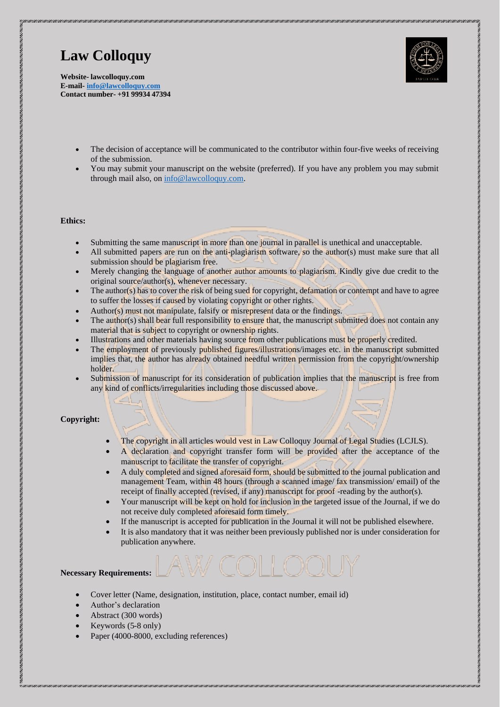

**Website- lawcolloquy.com E-mail- [info@lawcolloquy.com](mailto:info@lawcolloquy.com) Contact number- +91 99934 47394**

- The decision of acceptance will be communicated to the contributor within four-five weeks of receiving of the submission.
- You may submit your manuscript on the website (preferred). If you have any problem you may submit through mail also, on [info@lawcolloquy.com.](mailto:info@lawcolloquy.com)

#### **Ethics:**

- Submitting the same manuscript in more than one journal in parallel is unethical and unacceptable.
- All submitted papers are run on the anti-plagiarism software, so the author(s) must make sure that all submission should be plagiarism free.
- Merely changing the language of another author amounts to plagiarism. Kindly give due credit to the original source/author(s), whenever necessary.
- The author(s) has to cover the risk of being sued for copyright, defamation or contempt and have to agree to suffer the losses if caused by violating copyright or other rights.
- Author(s) must not manipulate, falsify or misrepresent data or the findings.
- The author(s) shall bear full responsibility to ensure that, the manuscript submitted does not contain any material that is subject to copyright or ownership rights.
- Illustrations and other materials having source from other publications must be properly credited.
- The employment of previously published figures/illustrations/images etc. in the manuscript submitted implies that, the author has already obtained needful written permission from the copyright/ownership holder.
- Submission of manuscript for its consideration of publication implies that the manuscript is free from any kind of conflicts/irregularities including those discussed above.

### **Copyright:**

- The copyright in all articles would vest in Law Colloquy Journal of Legal Studies (LCJLS).
- A declaration and copyright transfer form will be provided after the acceptance of the manuscript to facilitate the transfer of copyright.
- A duly completed and signed aforesaid form, should be submitted to the journal publication and management Team, within 48 hours (through a scanned image/ fax transmission/ email) of the receipt of finally accepted (revised, if any) manuscript for proof -reading by the author(s).
- Your manuscript will be kept on hold for inclusion in the targeted issue of the Journal, if we do not receive duly completed aforesaid form timely.
- If the manuscript is accepted for publication in the Journal it will not be published elsewhere.
- It is also mandatory that it was neither been previously published nor is under consideration for publication anywhere.

#### **Necessary Requirements:**

- Cover letter (Name, designation, institution, place, contact number, email id)
- Author's declaration
- Abstract (300 words)
- Keywords (5-8 only)
- Paper (4000-8000, excluding references)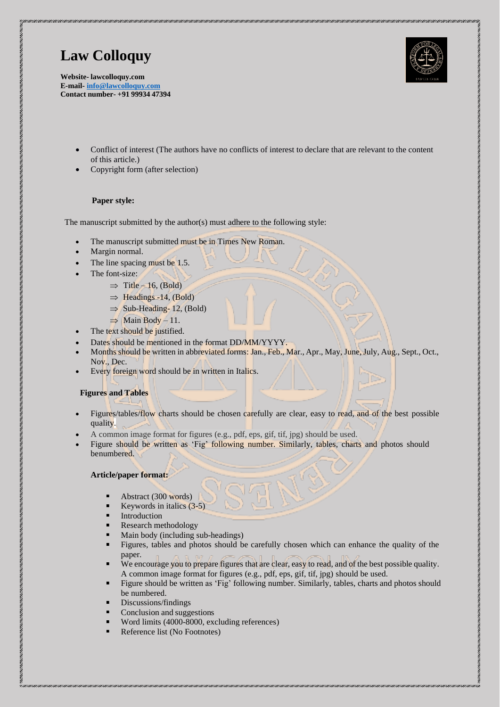**Website- lawcolloquy.com E-mail- [info@lawcolloquy.com](mailto:info@lawcolloquy.com) Contact number- +91 99934 47394**

- Conflict of interest (The authors have no conflicts of interest to declare that are relevant to the content of this article.)
- Copyright form (after selection)

### **Paper style:**

The manuscript submitted by the author(s) must adhere to the following style:

- The manuscript submitted must be in Times New Roman.
- Margin normal.
- The line spacing must be 1.5.
- The font-size:
	- $\Rightarrow$  Title 16, (Bold)
	- $\Rightarrow$  Headings -14, (Bold)
	- $\Rightarrow$  Sub-Heading- 12, (Bold)
	- $\Rightarrow$  Main Body 11.
- The text should be justified.
- Dates should be mentioned in the format DD/MM/YYYY.
- Months should be written in abbreviated forms: Jan.,Feb., Mar., Apr., May, June,July, Aug., Sept., Oct., Nov., Dec.
- Every foreign word should be in written in Italics.

### **Figures and Tables**

- Figures/tables/flow charts should be chosen carefully are clear, easy to read, and of the best possible quality.
- A common image format for figures (e.g., pdf, eps, gif, tif, jpg) should be used.
- Figure should be written as 'Fig' following number. Similarly, tables, charts and photos should benumbered.

### **Article/paper format:**

- Abstract (300 words) п
- . Keywords in italics (3-5)
- ٠ Introduction
- Research methodology
- Main body (including sub-headings)
- Figures, tables and photos should be carefully chosen which can enhance the quality of the paper.
- We encourage you to prepare figures that are clear, easy to read, and of the best possible quality. A common image format for figures (e.g., pdf, eps, gif, tif, jpg) should be used.
- Figure should be written as 'Fig' following number. Similarly, tables, charts and photos should be numbered.
- Discussions/findings
- Conclusion and suggestions
- Word limits (4000-8000, excluding references)
- Reference list (No Footnotes)